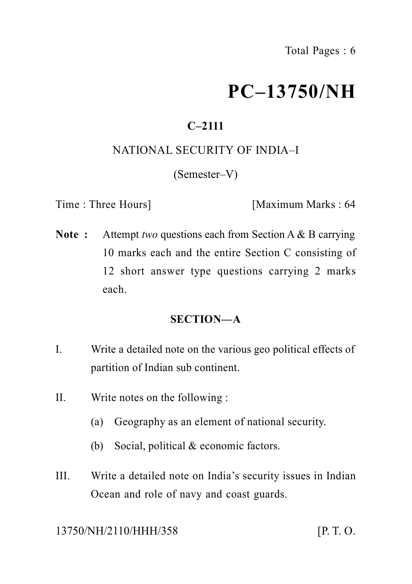# **PC–13750/NH**

## **C–2111**

#### NATIONAL SECURITY OF INDIA–I

(Semester–V)

Time : Three Hours] [Maximum Marks : 64]

**Note :** Attempt *two* questions each from Section A & B carrying 10 marks each and the entire Section C consisting of 12 short answer type questions carrying 2 marks each.

#### **SECTION—A**

- I. Write a detailed note on the various geo political effects of partition of Indian sub continent.
- II. Write notes on the following :
	- (a) Geography as an element of national security.
	- (b) Social, political & economic factors.
- III. Write a detailed note on India's security issues in Indian Ocean and role of navy and coast guards.

13750/NH/2110/HHH/358 [P. T. O.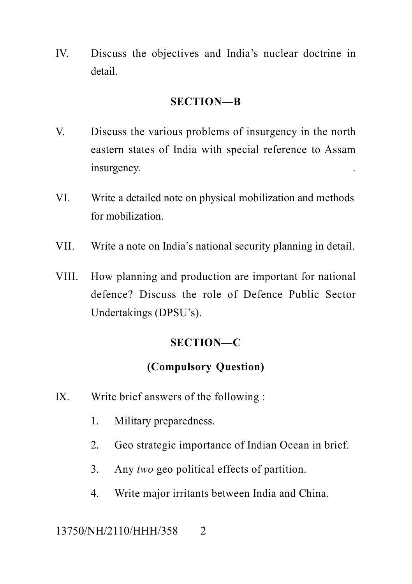IV. Discuss the objectives and India's nuclear doctrine in detail.

#### **SECTION—B**

- V. Discuss the various problems of insurgency in the north eastern states of India with special reference to Assam insurgency.
- VI. Write a detailed note on physical mobilization and methods for mobilization.
- VII. Write a note on India's national security planning in detail.
- VIII. How planning and production are important for national defence? Discuss the role of Defence Public Sector Undertakings (DPSU's).

### **SECTION—C**

## **(Compulsory Question)**

- IX. Write brief answers of the following :
	- 1. Military preparedness.
	- 2. Geo strategic importance of Indian Ocean in brief.
	- 3. Any *two* geo political effects of partition.
	- 4. Write major irritants between India and China.

### 13750/NH/2110/HHH/358 2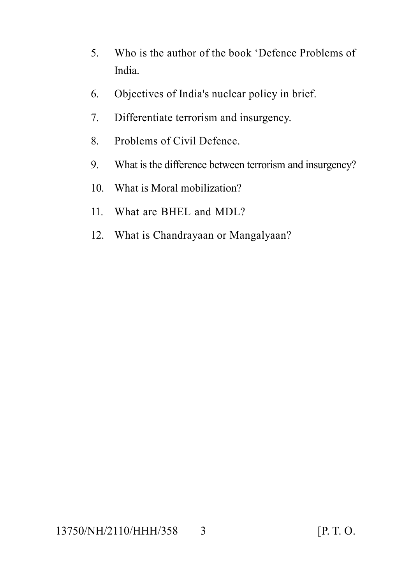- 5. Who is the author of the book 'Defence Problems of India.
- 6. Objectives of India's nuclear policy in brief.
- 7. Differentiate terrorism and insurgency.
- 8. Problems of Civil Defence.
- 9. What is the difference between terrorism and insurgency?
- 10. What is Moral mobilization?
- 11. What are BHEL and MDL?
- 12. What is Chandrayaan or Mangalyaan?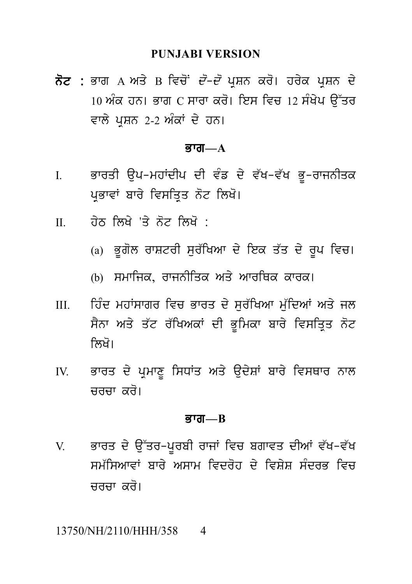PUNJABI VERSION<br>ਨੋਟ : ਭਾਗ A ਅਤੇ B ਵਿਚੋਂ *ਦੋ–ਦੋ* ਪ੍ਰਸ਼ਨ ਕਰੋ। ਹਰੇਕ ਪ੍ਰਸ਼ਨ ਦੇ<br>10 ਅੰਕ ਹਨ। ਭਾਗ C ਸਾਰਾ ਕਰੋ। ਇਸ ਵਿਚ 12 ਸੰਖੇਪ ਉੱਤਰ<br>ਵਾਲੇ ਪੁਸ਼ਨ 2-2 ਅੰਕਾਂ ਦੇ ਹਨ। PUNJABI VERSION<br>ਭਾਗ A ਅਤੇ B ਵਿਚੋਂ *ਦੋ–ਦੋ* ਪ੍ਰਸ਼ਨ ਕਰੋ। ਹਰੇਕ ਪ੍ਰਸ਼ਨ ਦੇ<br>10 ਅੰਕ ਹਨ। ਭਾਗ C ਸਾਰਾ ਕਰੋ। ਇਸ ਵਿਚ 12 ਸੰਖੇਪ ਉੱਤਰ<br>ਵਾਲੇ ਪ੍ਰਸ਼ਨ 2-2 ਅੰਕਾਂ ਦੇ ਹਨ। ਨੋਟ : ਭਾਗ A ਅਤੇ B ਵਿਚੋਂ *ਦੋ–ਦੋ* ਪ੍ਰਸ਼ਨ ਕਰੋ। ਹਰੇਕ ਪ੍ਰਸ਼ਨ ਦੇ<br>10 ਅੰਕ ਹਨ। ਭਾਗ C ਸਾਰਾ ਕਰੋ। ਇਸ ਵਿਚ 12 ਸੰਖੇਪ ਉੱਤਰ<br>ਵਾਲੇ ਪਸ਼ਨ 2-2 ਅੰਕਾਂ ਦੇ ਹਨ।

#### $\overline{B}$ जा— $A$

- ਵਾਲੇ ਪ੍ਰਸ਼ਨ 2-2 ਅੰਕਾਂ ਦੇ ਹਨ।<br>**ਭਾਗ—A<br>I. ਭਾ**ਰਤੀ ਉਪ–ਮਹਾਂਦੀਪ ਦੀ ਵੰਡ ਦੇ ਵੱਖ–ਵੱਖ ਭੂ–ਰਾਜਨੀਤਕ<br>ਪ੍ਰਭਾਵਾਂ ਬਾਰੇ ਵਿਸਤ੍ਰਿਤ ਨੋਟ ਲਿਖੋ। ਭਾਰਤੀ ਉਪ–ਮਹਾਂਦੀਪ ਦੀ ਵੰਡ ਦੇ ਵੱਖ–ਵੱਖ ਭੂ–ਰਾਜਨੀਤਕ<br>ਪ੍ਰਭਾਵਾਂ ਬਾਰੇ ਵਿਸਤ੍ਰਿਤ ਨੋਟ ਲਿਖੋ।<br>ਹੇਨ ਲਿਖੇ 'ਤੇ ਨੋਟ ਲਿਖੋ · I. ਭਾਰਤੀ ਉਪ–ਮਹਾਂਦੀਪ ਦੀ ਵੰਡ ਦੇ ਵੱਖ–ਵੱਖ ਭੂ<br>ਪ੍ਰਭਾਵਾਂ ਬਾਰੇ ਵਿਸਤ੍ਰਿਤ ਨੋਟ ਲਿਖੋ।<br>II. ਹੇਠ ਲਿਖੇ 'ਤੇ ਨੋਟ ਲਿਖੋ :<br>(a) ਭੂਗੋਲ ਰਾਸ਼ਟਰੀ ਸੁਰੱਖਿਆ ਦੇ ਇਕ ਤੱਤ ਦੇ ਪ੍ਰਭਾਵਾਂ ਬਾਰੇ ਵਿਸਤ੍ਰਿਤ ਨੋਟ ਲਿਖੋ।<br>ਹੇਠ ਲਿਖੇ 'ਤੇ ਨੋਟ ਲਿਖੋ :<br>(a) ਭੂਗੋਲ ਰਾਸ਼ਟਰੀ ਸੁਰੱਖਿਆ ਦੇ ਇਕ ਤੱਤ ਦੇ ਰੂਪ ਵਿਚ।<br>(b) ਸਮਾਜਿਕ, ਰਾਜਨੀਤਿਕ ਅਤੇ ਆਰਥਿਕ ਕਾਰਕ।
- -
	-
- ਹੇਠ ਲਿਖੇ 'ਤੇ ਨੋਟ ਲਿਖੋ :<br>(a) ਭੂਗੋਲ ਰਾਸ਼ਟਰੀ ਸੁਰੱਖਿਆ ਦੇ ਇਕ ਤੱਤ ਦੇ ਰੂਪ ਵਿਚ।<br>(b) ਸਮਾਜਿਕ, ਰਾਜਨੀਤਿਕ ਅਤੇ ਆਰਥਿਕ ਕਾਰਕ।<br>ਹਿੰਦ ਮਹਾਂਸਾਗਰ ਵਿਚ ਭਾਰਤ ਦੇ ਸੁਰੱਖਿਆ ਮੁੱਦਿਆਂ ਅਤੇ ਜਨ <sub>(a)</sub> ਭੂਗੋਲ ਰਾਸ਼ਟਰੀ ਸੁਰੱਖਿਆ ਦੇ ਇਕ ਤੱਤ ਦੇ ਰੂਪ ਵਿਚ।<br>(b) ਸਮਾਜਿਕ, ਰਾਜਨੀਤਿਕ ਅਤੇ ਆਰਥਿਕ ਕਾਰਕ।<br>III. ਹਿੰਦ ਮਹਾਂਸਾਗਰ ਵਿਚ ਭਾਰਤ ਦੇ ਸੁਰੱਖਿਆ ਮੁੱਦਿਆਂ ਅਤੇ ਜਲ<br>ਸੈਨਾ ਅਤੇ ਤੱਟ ਰੱਖਿਅਕਾਂ ਦੀ ਭੂਮਿਕਾ ਬਾਰੇ ਵਿਸਤ੍ਰਿਤ ਨੋਟ<br>ਲਿਖੋ। (b) ਸਮਾਜਿਕ, ਰਾਜਨੀਤਿਕ ਅਤੇ ਆਰਥਿਕ ਕਾਰਕ।<br>ਹਿੰਦ ਮਹਾਂਸਾਗਰ ਵਿਚ ਭਾਰਤ ਦੇ ਸੁਰੱਖਿਆ ਮੁੱਦਿਆਂ ਅਤੇ ਜਲ<br>ਸੈਨਾ ਅਤੇ ਤੱਟ ਰੱਖਿਅਕਾਂ ਦੀ ਭੂਮਿਕਾ ਬਾਰੇ ਵਿਸਤ੍ਰਿਤ ਨੋਟ<br>ਲਿਖੋ। <sub>(ਲ)</sub> ਸੰਸਾਲਾਲ, ਭਾਜਨਾਤਕ<br>ਹਿੰਦ ਮਹਾਂਸਾਗਰ ਵਿਚ ਭਾਰਤ<br>ਸੈਨਾ ਅਤੇ ਤੱਟ ਰੱਖਿਅਕਾਂ ਜ਼<br>ਲਿਖੋ।<br>ਭਾਰਤ ਦੇ ਪ੍ਰਮਾਣੂ ਸਿਧਾਂਤ ਅ II. ਸਾਰਦ ਸਾਰਵ ਦਾ ਸ਼ੁਰੂ ਦਾ ਸ਼ੁਰੂ ਸਾਰਵ ਸ਼ੁਰੂ ਸਾਰਵ ਸਨ।<br>ਸੈਨਾ ਅਤੇ ਤੱਟ ਰੱਖਿਅਕਾਂ ਦੀ ਭੂਮਿਕਾ ਬਾਰੇ ਵਿਸਤ੍ਰਿਤ ਨੋਟ<br>ਇਲਿੱਖੇ।<br>ਪੁਲਾਰਤ ਦੇ ਪ੍ਰਮਾਣੂ ਸਿਧਾਂਤ ਅਤੇ ਉਦੇਸ਼ਾਂ ਬਾਰੇ ਵਿਸਥਾਰ ਨਾਲ<br>ਚਰਚਾ ਕਰੋ।
- crcw kr o[

#### <u>ਭਾਗ—B</u>

ਚਰਚਾ ਕਰੋ।<br>ਭਾਗ—B<br>V. ਭਾਰਤ ਦੇ ਉੱਤਰ-ਪੂਰਬੀ ਰਾਜਾਂ ਵਿਚ ਬਗਾਵਤ ਦੀਆਂ ਵੱਖ-ਵੱਖ<br>ਸਮੱਸਿਆਵਾਂ ਬਾਰੇ ਅਸਾਮ ਵਿਦਰੋਹ ਦੇ ਵਿਸ਼ੇਸ਼ ਸੰਦਰਭ ਵਿਚ<br>ਜ਼ਰਜ਼ਾ ਕਰੋ। **ਭਾਗ—B<br>ਭਾਰਤ ਦੇ ਉੱਤਰ-ਪੂਰਬੀ ਰਾਜਾਂ ਵਿਚ ਬਗਾਵਤ ਦੀਆਂ ਵੱਖ-ਵੱਖ**<br>ਸਮੱਸਿਆਵਾਂ ਬਾਰੇ ਅਸਾਮ ਵਿਦਰੋਹ ਦੇ ਵਿਸ਼ੇਸ਼ ਸੰਦਰਭ ਵਿਚ<br>ਚਰਚਾ ਕਰੋ। crcw kr o[

#### 13750/NH/2110/HHH/358 4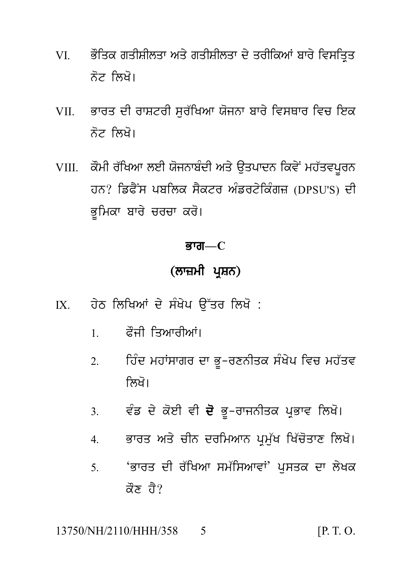- ਭੌਤਿਕ ਗਤੀਸ਼ੀਲਤਾ ਅਤੇ ਗਤੀਸ਼ੀਲਤਾ ਦੇ ਤਰੀਕਿਆਂ ਬਾਰੇ ਵਿਸਤ੍ਰਿਤ VI V ਨੋਟ ਲਿਖੋ।
- VII. ਭਾਰਤ ਦੀ ਰਾਸ਼ਟਰੀ ਸਰੱਖਿਆ ਯੋਜਨਾ ਬਾਰੇ ਵਿਸਥਾਰ ਵਿਚ ਇਕ ਨੋਟ ਲਿਖੋ।
- VIII. ਕੌਮੀ ਰੱਖਿਆ ਲਈ ਯੋਜਨਾਬੰਦੀ ਅਤੇ ਉਤਪਾਦਨ ਕਿਵੇਂ ਮਹੱਤਵਪਰਨ ਹਨ? ਡਿਫੈਂਸ ਪਬਲਿਕ ਸੈਕਟਰ ਅੰਡਰਟੇਕਿੰਗਜ਼ (DPSU'S) ਦੀ ਭੂਮਿਕਾ ਬਾਰੇ ਚਰਚਾ ਕਰੋ।

#### ਭਾਗ $-C$

## (ਲਾਜ਼ਮੀ ਪਸ਼ਨ)

- ਹੇਠ ਲਿਖਿਆਂ ਦੇ ਸੰਖੇਪ ਉੱਤਰ ਲਿਖੋ :  $IX$ 
	- ਫ਼ੌਜੀ ਤਿਆਰੀਆਂ।  $1$
	- ਹਿੰਦ ਮਹਾਂਸਾਗਰ ਦਾ ਭੂ-ਰਣਨੀਤਕ ਸੰਖੇਪ ਵਿਚ ਮਹੱਤਵ  $\mathcal{D}$ ਲਿਖੋ।
	- ਵੰਡ ਦੇ ਕੋਈ ਵੀ **ਦੋ** ਭੂ-ਰਾਜਨੀਤਕ ਪ੍ਰਭਾਵ ਲਿਖੋ।  $3.$
	- ਭਾਰਤ ਅਤੇ ਚੀਨ ਦਰਮਿਆਨ ਪ੍ਰਮੁੱਖ ਖਿੱਚੋਤਾਣ ਲਿਖੋ।  $\overline{4}$
	- 'ਭਾਰਤ ਦੀ ਰੱਖਿਆ ਸਮੱਸਿਆਵਾਂ' ਪਸਤਕ ਦਾ ਲੇਖਕ  $\overline{\mathcal{L}}$ ਕੌਣ ਹੈ?

13750/NH/2110/HHH/358  $[P, T, O]$ 5